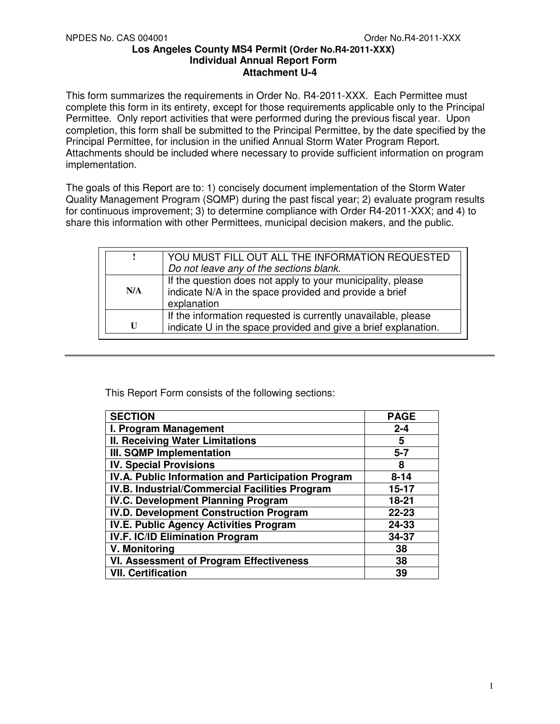This form summarizes the requirements in Order No. R4-2011-XXX. Each Permittee must complete this form in its entirety, except for those requirements applicable only to the Principal Permittee. Only report activities that were performed during the previous fiscal year. Upon completion, this form shall be submitted to the Principal Permittee, by the date specified by the Principal Permittee, for inclusion in the unified Annual Storm Water Program Report. Attachments should be included where necessary to provide sufficient information on program implementation.

The goals of this Report are to: 1) concisely document implementation of the Storm Water Quality Management Program (SQMP) during the past fiscal year; 2) evaluate program results for continuous improvement; 3) to determine compliance with Order R4-2011-XXX; and 4) to share this information with other Permittees, municipal decision makers, and the public.

|     | YOU MUST FILL OUT ALL THE INFORMATION REQUESTED                                                                                      |
|-----|--------------------------------------------------------------------------------------------------------------------------------------|
|     | Do not leave any of the sections blank.                                                                                              |
| N/A | If the question does not apply to your municipality, please<br>indicate N/A in the space provided and provide a brief<br>explanation |
| U   | If the information requested is currently unavailable, please<br>indicate U in the space provided and give a brief explanation.      |

This Report Form consists of the following sections:

| <b>SECTION</b>                                     | <b>PAGE</b> |
|----------------------------------------------------|-------------|
| I. Program Management                              | $2 - 4$     |
| <b>II. Receiving Water Limitations</b>             | 5           |
| <b>III. SQMP Implementation</b>                    | $5 - 7$     |
| <b>IV. Special Provisions</b>                      | 8           |
| IV.A. Public Information and Participation Program | $8 - 14$    |
| IV.B. Industrial/Commercial Facilities Program     | $15 - 17$   |
| <b>IV.C. Development Planning Program</b>          | 18-21       |
| <b>IV.D. Development Construction Program</b>      | $22 - 23$   |
| <b>IV.E. Public Agency Activities Program</b>      | 24-33       |
| IV.F. IC/ID Elimination Program                    | 34-37       |
| V. Monitoring                                      | 38          |
| <b>VI. Assessment of Program Effectiveness</b>     | 38          |
| <b>VII. Certification</b>                          | 39          |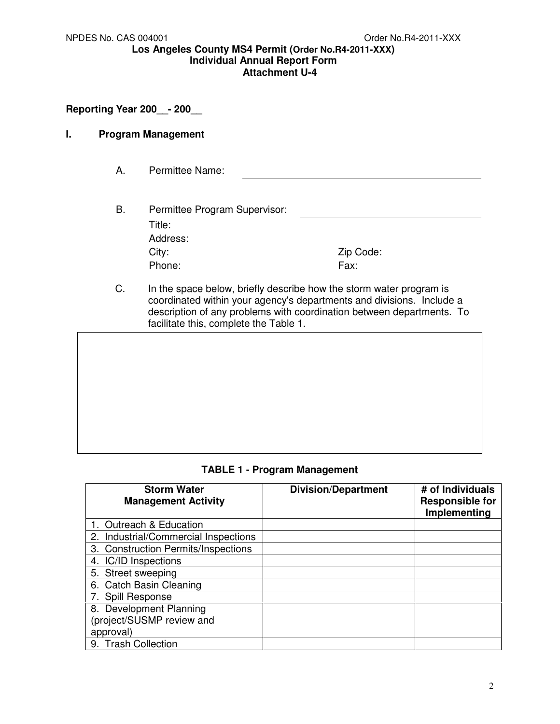# **Reporting Year 200\_\_- 200\_\_**

### **I. Program Management**

- A. Permittee Name:
- B. Permittee Program Supervisor: Title: Address: City: Zip Code: Phone: Fax:
- C. In the space below, briefly describe how the storm water program is coordinated within your agency's departments and divisions. Include a description of any problems with coordination between departments. To facilitate this, complete the Table 1.



**TABLE 1 - Program Management** 

| <b>Storm Water</b><br><b>Management Activity</b> | <b>Division/Department</b> | # of Individuals<br><b>Responsible for</b><br>Implementing |
|--------------------------------------------------|----------------------------|------------------------------------------------------------|
| 1. Outreach & Education                          |                            |                                                            |
| 2. Industrial/Commercial Inspections             |                            |                                                            |
| 3. Construction Permits/Inspections              |                            |                                                            |
| 4. IC/ID Inspections                             |                            |                                                            |
| 5. Street sweeping                               |                            |                                                            |
| 6. Catch Basin Cleaning                          |                            |                                                            |
| 7. Spill Response                                |                            |                                                            |
| 8. Development Planning                          |                            |                                                            |
| (project/SUSMP review and                        |                            |                                                            |
| approval)                                        |                            |                                                            |
| 9. Trash Collection                              |                            |                                                            |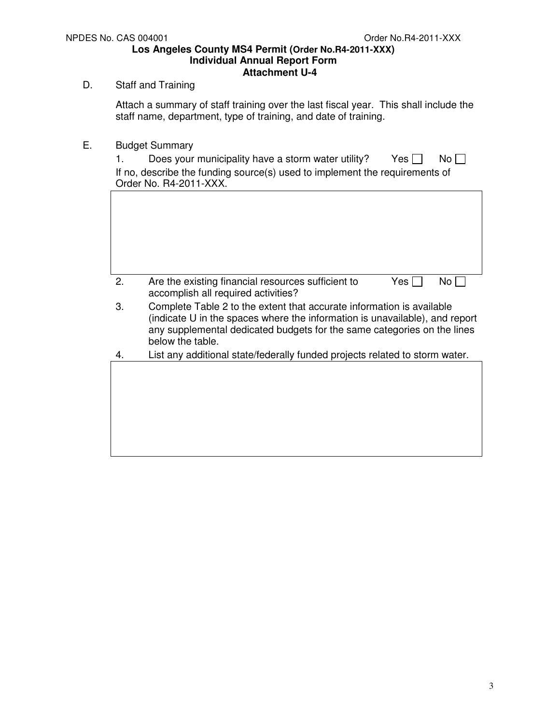# D. Staff and Training

Attach a summary of staff training over the last fiscal year. This shall include the staff name, department, type of training, and date of training.

E. Budget Summary

| 1. | Does your municipality have a storm water utility?<br>Yes    <br>No L<br>If no, describe the funding source(s) used to implement the requirements of<br>Order No. R4-2011-XXX.                                                                      |
|----|-----------------------------------------------------------------------------------------------------------------------------------------------------------------------------------------------------------------------------------------------------|
|    |                                                                                                                                                                                                                                                     |
|    |                                                                                                                                                                                                                                                     |
|    |                                                                                                                                                                                                                                                     |
|    |                                                                                                                                                                                                                                                     |
| 2. | Are the existing financial resources sufficient to<br>No l<br>Yes I<br>accomplish all required activities?                                                                                                                                          |
| 3. | Complete Table 2 to the extent that accurate information is available<br>(indicate U in the spaces where the information is unavailable), and report<br>any supplemental dedicated budgets for the same categories on the lines<br>below the table. |
| 4. | List any additional state/federally funded projects related to storm water.                                                                                                                                                                         |
|    |                                                                                                                                                                                                                                                     |
|    |                                                                                                                                                                                                                                                     |
|    |                                                                                                                                                                                                                                                     |
|    |                                                                                                                                                                                                                                                     |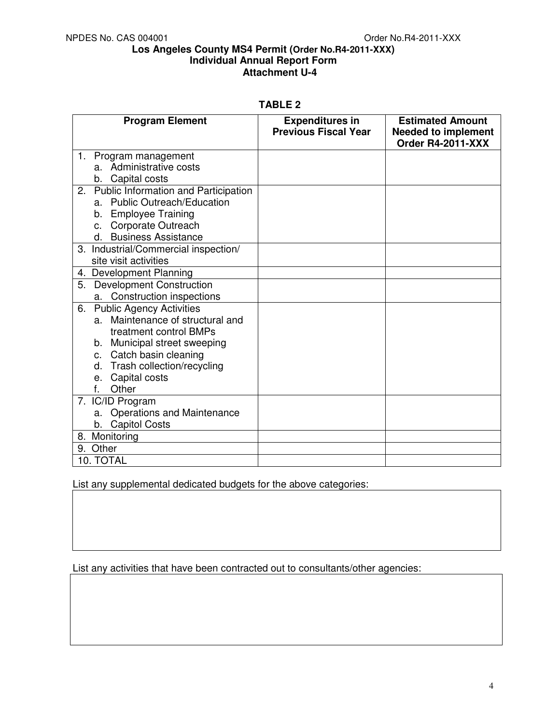### **TABLE 2**

| <b>Program Element</b>                     | <b>Expenditures in</b><br><b>Previous Fiscal Year</b> | <b>Estimated Amount</b><br><b>Needed to implement</b><br>Order R4-2011-XXX |
|--------------------------------------------|-------------------------------------------------------|----------------------------------------------------------------------------|
| 1.<br>Program management                   |                                                       |                                                                            |
| a. Administrative costs                    |                                                       |                                                                            |
| b. Capital costs                           |                                                       |                                                                            |
| Public Information and Participation<br>2. |                                                       |                                                                            |
| a. Public Outreach/Education               |                                                       |                                                                            |
| b. Employee Training                       |                                                       |                                                                            |
| c. Corporate Outreach                      |                                                       |                                                                            |
| d. Business Assistance                     |                                                       |                                                                            |
| 3. Industrial/Commercial inspection/       |                                                       |                                                                            |
| site visit activities                      |                                                       |                                                                            |
| 4. Development Planning                    |                                                       |                                                                            |
| <b>Development Construction</b><br>5.      |                                                       |                                                                            |
| a. Construction inspections                |                                                       |                                                                            |
| <b>Public Agency Activities</b><br>6.      |                                                       |                                                                            |
| Maintenance of structural and<br>a.        |                                                       |                                                                            |
| treatment control BMPs                     |                                                       |                                                                            |
| b. Municipal street sweeping               |                                                       |                                                                            |
| c. Catch basin cleaning                    |                                                       |                                                                            |
| d. Trash collection/recycling              |                                                       |                                                                            |
| Capital costs<br>е.                        |                                                       |                                                                            |
| Other<br>f.                                |                                                       |                                                                            |
| 7. IC/ID Program                           |                                                       |                                                                            |
| <b>Operations and Maintenance</b><br>a.    |                                                       |                                                                            |
| <b>Capitol Costs</b><br>b.                 |                                                       |                                                                            |
| 8. Monitoring                              |                                                       |                                                                            |
| 9. Other                                   |                                                       |                                                                            |
| 10. TOTAL                                  |                                                       |                                                                            |

List any supplemental dedicated budgets for the above categories:

List any activities that have been contracted out to consultants/other agencies: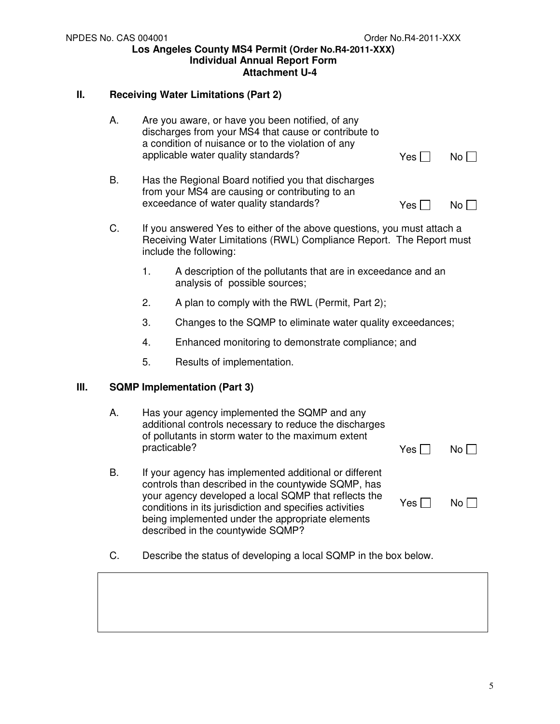# **II. Receiving Water Limitations (Part 2)**

|    | A.        | Yes                                                                                                                                             | No <sub>1</sub>                                                                                                                                                                                                                                                                                                           |            |                 |
|----|-----------|-------------------------------------------------------------------------------------------------------------------------------------------------|---------------------------------------------------------------------------------------------------------------------------------------------------------------------------------------------------------------------------------------------------------------------------------------------------------------------------|------------|-----------------|
|    | <b>B.</b> | Yes I                                                                                                                                           | No <sub>1</sub>                                                                                                                                                                                                                                                                                                           |            |                 |
|    | C.        | If you answered Yes to either of the above questions, you must attach a<br>Receiving Water Limitations (RWL) Compliance Report. The Report must |                                                                                                                                                                                                                                                                                                                           |            |                 |
|    |           | 1.                                                                                                                                              | A description of the pollutants that are in exceedance and an<br>analysis of possible sources;                                                                                                                                                                                                                            |            |                 |
|    |           | 2.                                                                                                                                              | A plan to comply with the RWL (Permit, Part 2);                                                                                                                                                                                                                                                                           |            |                 |
|    |           | 3.                                                                                                                                              | Changes to the SQMP to eliminate water quality exceedances;                                                                                                                                                                                                                                                               |            |                 |
|    |           | 4.                                                                                                                                              | Enhanced monitoring to demonstrate compliance; and                                                                                                                                                                                                                                                                        |            |                 |
|    |           | 5.                                                                                                                                              | Results of implementation.                                                                                                                                                                                                                                                                                                |            |                 |
| Ш. |           |                                                                                                                                                 | <b>SQMP Implementation (Part 3)</b>                                                                                                                                                                                                                                                                                       |            |                 |
|    | А.        | practicable?                                                                                                                                    | Has your agency implemented the SQMP and any<br>additional controls necessary to reduce the discharges<br>of pollutants in storm water to the maximum extent                                                                                                                                                              | Yes I      | No <sub>1</sub> |
|    | <b>B.</b> |                                                                                                                                                 | If your agency has implemented additional or different<br>controls than described in the countywide SQMP, has<br>your agency developed a local SQMP that reflects the<br>conditions in its jurisdiction and specifies activities<br>being implemented under the appropriate elements<br>described in the countywide SQMP? | Yes $\Box$ | $No \ \Box$     |
|    | C.        |                                                                                                                                                 | Describe the status of developing a local SQMP in the box below.                                                                                                                                                                                                                                                          |            |                 |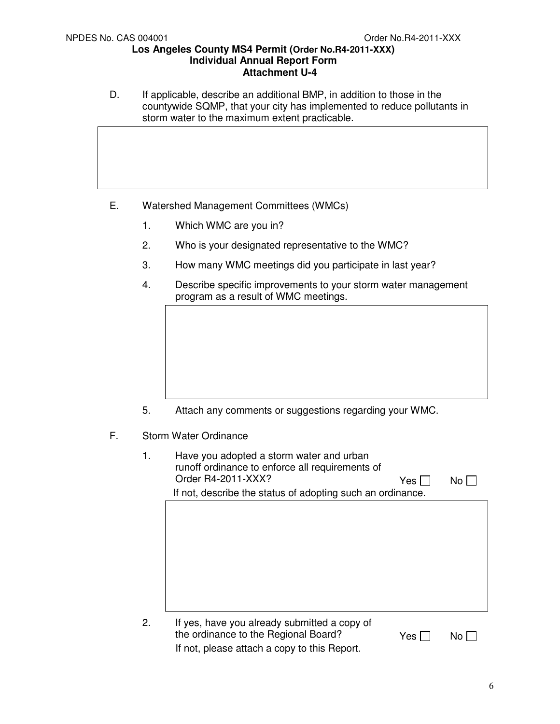D. If applicable, describe an additional BMP, in addition to those in the countywide SQMP, that your city has implemented to reduce pollutants in storm water to the maximum extent practicable.

- E. Watershed Management Committees (WMCs)
	- 1. Which WMC are you in?
	- 2. Who is your designated representative to the WMC?
	- 3. How many WMC meetings did you participate in last year?
	- 4. Describe specific improvements to your storm water management program as a result of WMC meetings.

- 5. Attach any comments or suggestions regarding your WMC.
- F. Storm Water Ordinance
	- 1. Have you adopted a storm water and urban runoff ordinance to enforce all requirements of Order R4-2011-XXX?  $Yes \Box \qquad No \Box$  If not, describe the status of adopting such an ordinance. 2. If yes, have you already submitted a copy of
		- the ordinance to the Regional Board?  $Yes \Box \qquad No \Box$ If not, please attach a copy to this Report.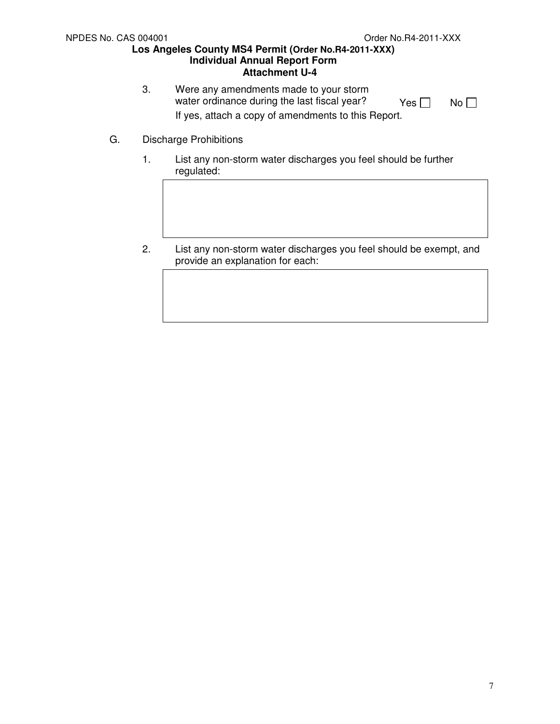- 3. Were any amendments made to your storm water ordinance during the last fiscal year?  $Yes \Box \qquad No \Box$ If yes, attach a copy of amendments to this Report.
- G. Discharge Prohibitions
	- 1. List any non-storm water discharges you feel should be further regulated:
	- 2. List any non-storm water discharges you feel should be exempt, and provide an explanation for each: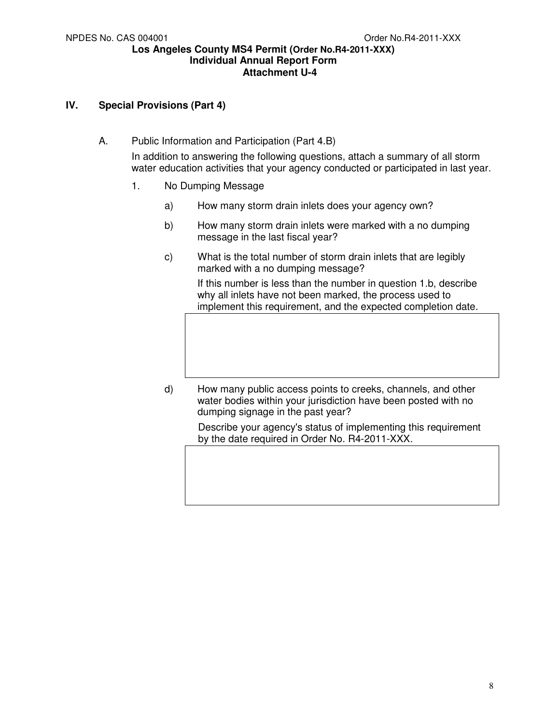## **IV. Special Provisions (Part 4)**

A. Public Information and Participation (Part 4.B)

In addition to answering the following questions, attach a summary of all storm water education activities that your agency conducted or participated in last year.

- 1. No Dumping Message
	- a) How many storm drain inlets does your agency own?
	- b) How many storm drain inlets were marked with a no dumping message in the last fiscal year?
	- c) What is the total number of storm drain inlets that are legibly marked with a no dumping message?

If this number is less than the number in question 1.b, describe why all inlets have not been marked, the process used to implement this requirement, and the expected completion date.

d) How many public access points to creeks, channels, and other water bodies within your jurisdiction have been posted with no dumping signage in the past year?

> Describe your agency's status of implementing this requirement by the date required in Order No. R4-2011-XXX.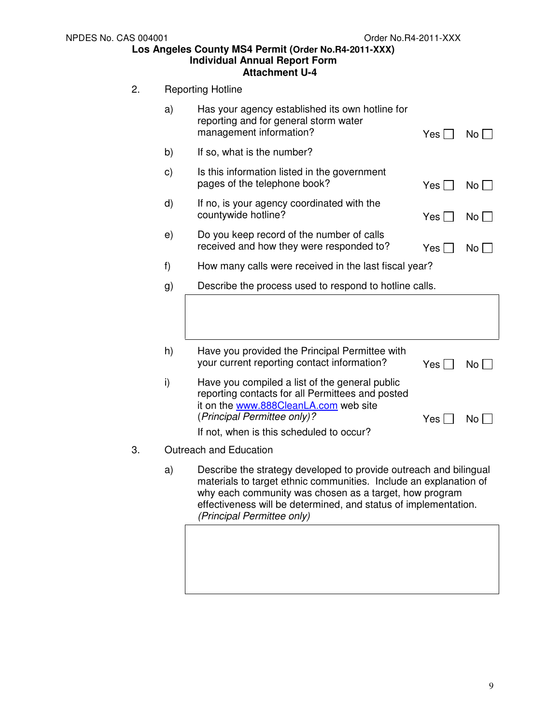## 2. Reporting Hotline

|    | a)            | Has your agency established its own hotline for<br>reporting and for general storm water<br>management information?                                                                                                                                                                               | $Yes$ $\Box$ | $No$ $\Box$  |
|----|---------------|---------------------------------------------------------------------------------------------------------------------------------------------------------------------------------------------------------------------------------------------------------------------------------------------------|--------------|--------------|
|    | b)            | If so, what is the number?                                                                                                                                                                                                                                                                        |              |              |
|    | $\mathbf{c})$ | Is this information listed in the government<br>pages of the telephone book?                                                                                                                                                                                                                      | Yes          | $No$ $ $     |
|    | d)            | If no, is your agency coordinated with the<br>countywide hotline?                                                                                                                                                                                                                                 | Yes          | No l         |
|    | e)            | Do you keep record of the number of calls<br>received and how they were responded to?                                                                                                                                                                                                             | Yes          | No           |
|    | f)            | How many calls were received in the last fiscal year?                                                                                                                                                                                                                                             |              |              |
|    | g)            | Describe the process used to respond to hotline calls.                                                                                                                                                                                                                                            |              |              |
|    |               |                                                                                                                                                                                                                                                                                                   |              |              |
|    | h)            | Have you provided the Principal Permittee with<br>your current reporting contact information?                                                                                                                                                                                                     | Yes          | $No$ $\vert$ |
|    | i)            | Have you compiled a list of the general public<br>reporting contacts for all Permittees and posted<br>it on the www.888CleanLA.com web site<br>(Principal Permittee only)?<br>If not, when is this scheduled to occur?                                                                            | Yes          | No l         |
| 3. |               | Outreach and Education                                                                                                                                                                                                                                                                            |              |              |
|    | a)            | Describe the strategy developed to provide outreach and bilingual<br>materials to target ethnic communities. Include an explanation of<br>why each community was chosen as a target, how program<br>effectiveness will be determined, and status of implementation.<br>(Principal Permittee only) |              |              |
|    |               |                                                                                                                                                                                                                                                                                                   |              |              |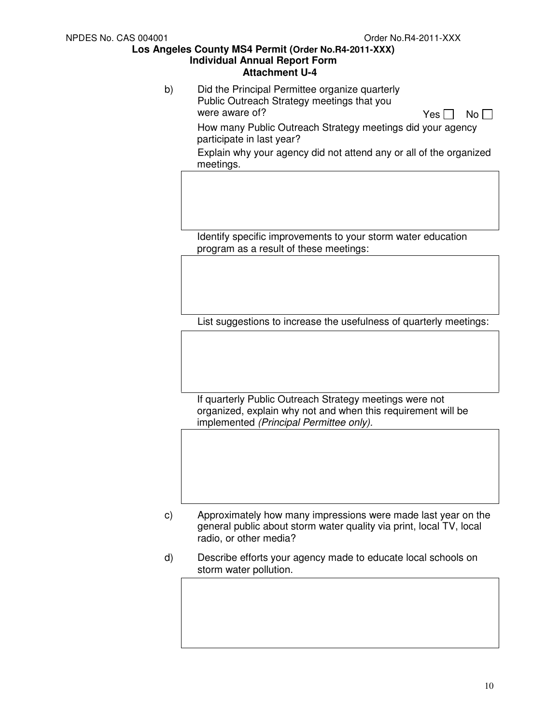b) Did the Principal Permittee organize quarterly Public Outreach Strategy meetings that you were aware of?  $Yes \Box \ No \Box$  How many Public Outreach Strategy meetings did your agency participate in last year? Explain why your agency did not attend any or all of the organized meetings.

Identify specific improvements to your storm water education program as a result of these meetings:

List suggestions to increase the usefulness of quarterly meetings:

If quarterly Public Outreach Strategy meetings were not organized, explain why not and when this requirement will be implemented (Principal Permittee only).

- c) Approximately how many impressions were made last year on the general public about storm water quality via print, local TV, local radio, or other media?
- d) Describe efforts your agency made to educate local schools on storm water pollution.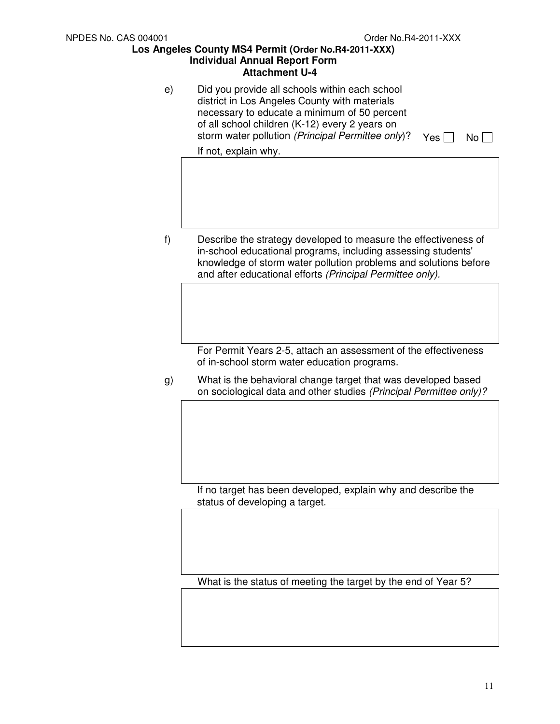e) Did you provide all schools within each school district in Los Angeles County with materials necessary to educate a minimum of 50 percent of all school children (K-12) every 2 years on storm water pollution (Principal Permittee only)? Yes  $\Box$  No  $\Box$ 

If not, explain why.

f) Describe the strategy developed to measure the effectiveness of in-school educational programs, including assessing students' knowledge of storm water pollution problems and solutions before and after educational efforts (Principal Permittee only).

> For Permit Years 2-5, attach an assessment of the effectiveness of in-school storm water education programs.

g) What is the behavioral change target that was developed based on sociological data and other studies (Principal Permittee only)?

If no target has been developed, explain why and describe the status of developing a target.

What is the status of meeting the target by the end of Year 5?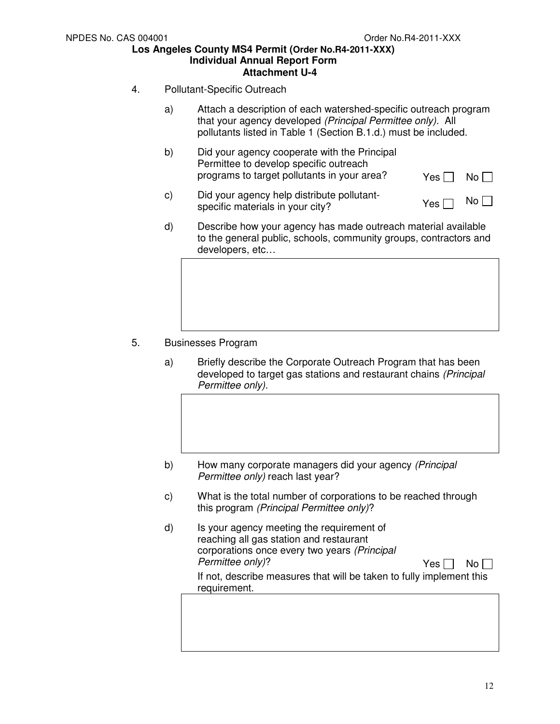- 4. Pollutant-Specific Outreach
	- a) Attach a description of each watershed-specific outreach program that your agency developed (Principal Permittee only). All pollutants listed in Table 1 (Section B.1.d.) must be included.
	- b) Did your agency cooperate with the Principal Permittee to develop specific outreach programs to target pollutants in your area?  $Y_{\text{es}} \Box \ N_0 \Box$
	- c) Did your agency help distribute pollutant- $\Box$  bid your agency neip distribute politically<br>specific materials in your city?
	- d) Describe how your agency has made outreach material available to the general public, schools, community groups, contractors and developers, etc…

- 5. Businesses Program
	- a) Briefly describe the Corporate Outreach Program that has been developed to target gas stations and restaurant chains (Principal Permittee only).
	- b) How many corporate managers did your agency (Principal Permittee only) reach last year?
	- c) What is the total number of corporations to be reached through this program (Principal Permittee only)?
	- d) Is your agency meeting the requirement of reaching all gas station and restaurant corporations once every two years (Principal  $Permittee$  only)?  $Yes \Box No \Box$ If not, describe measures that will be taken to fully implement this requirement.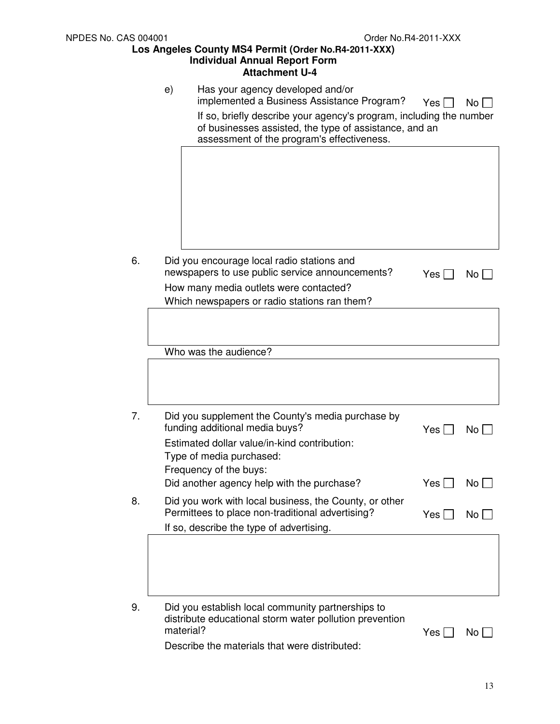|    | e)        | Has your agency developed and/or<br>implemented a Business Assistance Program?<br>If so, briefly describe your agency's program, including the number<br>of businesses assisted, the type of assistance, and an<br>assessment of the program's effectiveness. | Yes l | No   |
|----|-----------|---------------------------------------------------------------------------------------------------------------------------------------------------------------------------------------------------------------------------------------------------------------|-------|------|
|    |           |                                                                                                                                                                                                                                                               |       |      |
| 6. |           | Did you encourage local radio stations and<br>newspapers to use public service announcements?<br>How many media outlets were contacted?<br>Which newspapers or radio stations ran them?                                                                       | Yes I | No   |
|    |           |                                                                                                                                                                                                                                                               |       |      |
|    |           | Who was the audience?                                                                                                                                                                                                                                         |       |      |
| 7. |           | Did you supplement the County's media purchase by<br>funding additional media buys?<br>Estimated dollar value/in-kind contribution:<br>Type of media purchased:<br>Frequency of the buys:                                                                     | Yes   | No   |
|    |           | Did another agency help with the purchase?                                                                                                                                                                                                                    | Yes   | No   |
| 8. |           | Did you work with local business, the County, or other<br>Permittees to place non-traditional advertising?<br>If so, describe the type of advertising.                                                                                                        | Yes   | No I |
|    |           |                                                                                                                                                                                                                                                               |       |      |
| 9. | material? | Did you establish local community partnerships to<br>distribute educational storm water pollution prevention<br>Describe the materials that were distributed:                                                                                                 | Yes   | No   |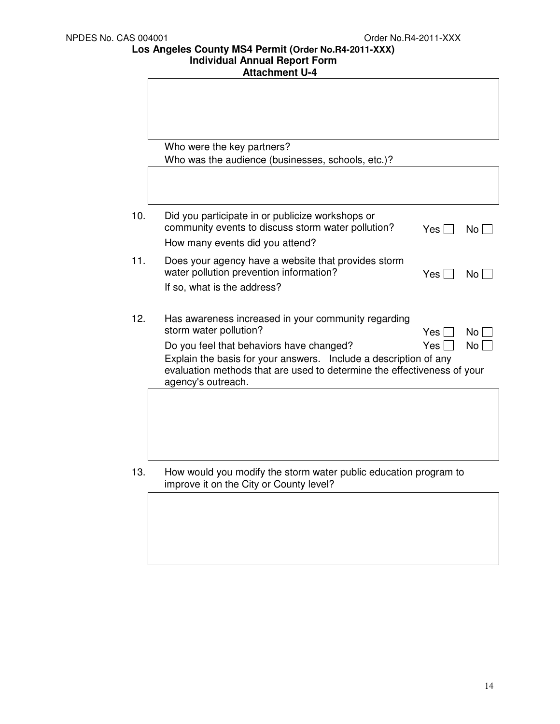**Los Angeles County MS4 Permit (Order No.R4-2011-XXX)** 

#### **Individual Annual Report Form Attachment U-4**

|     | Who were the key partners?<br>Who was the audience (businesses, schools, etc.)?                                                                                                                                                                                                                |                           |                   |
|-----|------------------------------------------------------------------------------------------------------------------------------------------------------------------------------------------------------------------------------------------------------------------------------------------------|---------------------------|-------------------|
|     |                                                                                                                                                                                                                                                                                                |                           |                   |
| 10. | Did you participate in or publicize workshops or<br>community events to discuss storm water pollution?<br>How many events did you attend?                                                                                                                                                      | Yes I                     | No l              |
| 11. | Does your agency have a website that provides storm<br>water pollution prevention information?<br>If so, what is the address?                                                                                                                                                                  | Yes [                     | No                |
| 12. | Has awareness increased in your community regarding<br>storm water pollution?<br>Do you feel that behaviors have changed?<br>Explain the basis for your answers. Include a description of any<br>evaluation methods that are used to determine the effectiveness of your<br>agency's outreach. | Yes <sup>1</sup><br>Yes I | <b>No</b><br>No l |
|     |                                                                                                                                                                                                                                                                                                |                           |                   |
| 13. | How would you modify the storm water public education program to<br>improve it on the City or County level?                                                                                                                                                                                    |                           |                   |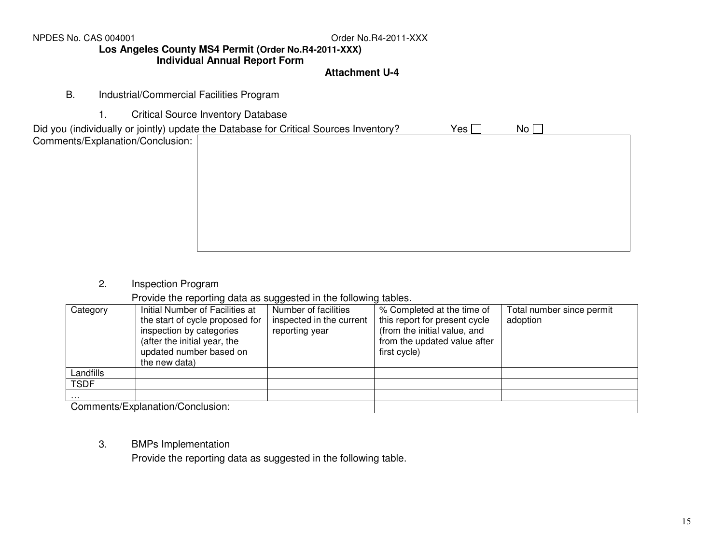NPDES No. CAS 004001

# **Los Angeles County MS4 Permit (Order No.R4-2011-XXX)**

# **Individual Annual Report Form**

## **Attachment U-4**

- B. Industrial/Commercial Facilities Program
	- 1. Critical Source Inventory Database

2. Inspection Program

Provide the reporting data as suggested in the following tables.

| Category    | Initial Number of Facilities at<br>the start of cycle proposed for<br>inspection by categories | Number of facilities<br>inspected in the current<br>reporting year | % Completed at the time of<br>this report for present cycle<br>(from the initial value, and | Total number since permit<br>adoption |
|-------------|------------------------------------------------------------------------------------------------|--------------------------------------------------------------------|---------------------------------------------------------------------------------------------|---------------------------------------|
|             | (after the initial year, the<br>updated number based on<br>the new data)                       |                                                                    | from the updated value after<br>first cycle)                                                |                                       |
| Landfills   |                                                                                                |                                                                    |                                                                                             |                                       |
| <b>TSDF</b> |                                                                                                |                                                                    |                                                                                             |                                       |
| .           |                                                                                                |                                                                    |                                                                                             |                                       |
|             | Commonto/Evplopation/Conclusion:                                                               |                                                                    |                                                                                             |                                       |

Comments/Explanation/Conclusion:

3. BMPs Implementation

Provide the reporting data as suggested in the following table.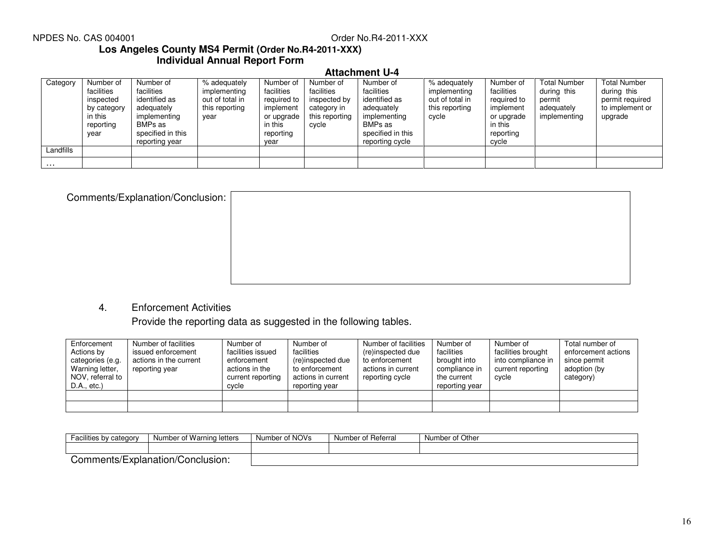### NPDES No. CAS 004001

# Order No.R4-2011-XXX

## **Los Angeles County MS4 Permit (Order No.R4-2011-XXX) Individual Annual Report Form**

# **Attachment U-4**

| Category  | Number of<br>facilities<br>inspected<br>by category<br>in this<br>reporting<br>year | Number of<br>facilities<br>identified as<br>adequately<br>implementing<br>BMPs as<br>specified in this<br>reporting year | % adequately<br>implementing<br>out of total in<br>this reporting<br>year | Number of<br>facilities<br>required to<br>implement<br>or upgrade<br>in this<br>reporting<br>year | Number of<br>facilities<br>inspected by<br>category in<br>this reporting<br>cycle | Number of<br>facilities<br>identified as<br>adequately<br>implementing<br>BMPs as<br>specified in this<br>reporting cycle | % adequately<br>implementing<br>out of total in<br>this reporting<br>cycle | Number of<br>facilities<br>required to<br>implement<br>or upgrade<br>in this<br>reporting<br>cycle | <b>Total Number</b><br>during this<br>permit<br>adequately<br>implementing | <b>Total Number</b><br>during this<br>permit required<br>to implement or<br>upgrade |
|-----------|-------------------------------------------------------------------------------------|--------------------------------------------------------------------------------------------------------------------------|---------------------------------------------------------------------------|---------------------------------------------------------------------------------------------------|-----------------------------------------------------------------------------------|---------------------------------------------------------------------------------------------------------------------------|----------------------------------------------------------------------------|----------------------------------------------------------------------------------------------------|----------------------------------------------------------------------------|-------------------------------------------------------------------------------------|
| Landfills |                                                                                     |                                                                                                                          |                                                                           |                                                                                                   |                                                                                   |                                                                                                                           |                                                                            |                                                                                                    |                                                                            |                                                                                     |
| $\cdots$  |                                                                                     |                                                                                                                          |                                                                           |                                                                                                   |                                                                                   |                                                                                                                           |                                                                            |                                                                                                    |                                                                            |                                                                                     |

| Comments/Explanation/Conclusion: |  |
|----------------------------------|--|
|                                  |  |
|                                  |  |
|                                  |  |
|                                  |  |
|                                  |  |

### 4. Enforcement Activities

Provide the reporting data as suggested in the following tables.

| Enforcement<br>Actions by<br>categories (e.g.<br>Warning letter,<br>NOV, referral to<br>D.A., etc.) | Number of facilities<br>issued enforcement<br>actions in the current<br>reporting year | Number of<br>facilities issued<br>enforcement<br>actions in the<br>current reporting<br>cycle | Number of<br>facilities<br>(re)inspected due<br>to enforcement<br>actions in current<br>reporting year | Number of facilities<br>(re)inspected due<br>to enforcement<br>actions in current<br>reporting cycle | Number of<br>facilities<br>brought into<br>compliance in<br>the current<br>reporting year | Number of<br>facilities brought<br>into compliance in<br>current reporting<br>cycle | Total number of<br>enforcement actions<br>since permit<br>adoption (by<br>category) |
|-----------------------------------------------------------------------------------------------------|----------------------------------------------------------------------------------------|-----------------------------------------------------------------------------------------------|--------------------------------------------------------------------------------------------------------|------------------------------------------------------------------------------------------------------|-------------------------------------------------------------------------------------------|-------------------------------------------------------------------------------------|-------------------------------------------------------------------------------------|
|                                                                                                     |                                                                                        |                                                                                               |                                                                                                        |                                                                                                      |                                                                                           |                                                                                     |                                                                                     |
|                                                                                                     |                                                                                        |                                                                                               |                                                                                                        |                                                                                                      |                                                                                           |                                                                                     |                                                                                     |

| lities by category<br>Faci.      | Number of Warning letters | Number of NOVs | Number of Referral | Number of Other |
|----------------------------------|---------------------------|----------------|--------------------|-----------------|
|                                  |                           |                |                    |                 |
| Comments/Explanation/Conclusion: |                           |                |                    |                 |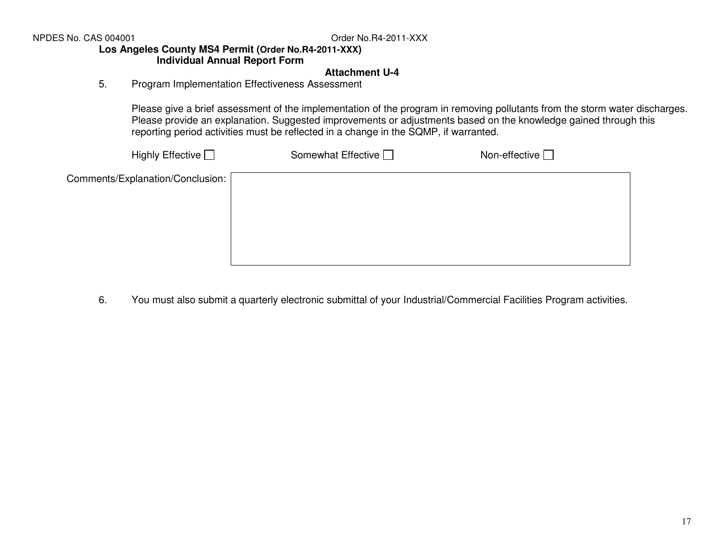NPDES No. CAS 004001

Order No.R4-2011-XXX

### **Los Angeles County MS4 Permit (Order No.R4-2011-XXX)**

# **Individual Annual Report Form**

# **Attachment U-4**

# 5. Program Implementation Effectiveness Assessment

Please give a brief assessment of the implementation of the program in removing pollutants from the storm water discharges. Please provide an explanation. Suggested improvements or adjustments based on the knowledge gained through this reporting period activities must be reflected in a change in the SQMP, if warranted.

| Highly Effective $\Box$          | Somewhat Effective $\Box$ | Non-effective $\Box$ |  |
|----------------------------------|---------------------------|----------------------|--|
| Comments/Explanation/Conclusion: |                           |                      |  |
|                                  |                           |                      |  |
|                                  |                           |                      |  |
|                                  |                           |                      |  |
|                                  |                           |                      |  |

6. You must also submit a quarterly electronic submittal of your Industrial/Commercial Facilities Program activities.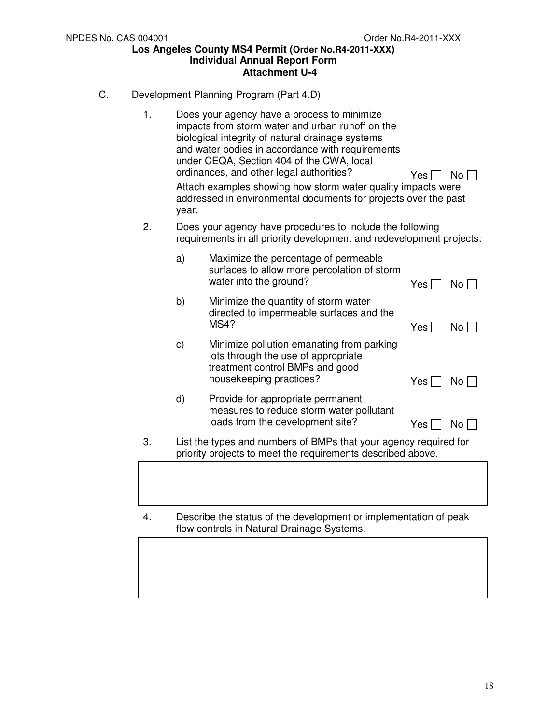- C. Development Planning Program (Part 4.D)
	- 1. Does your agency have a process to minimize impacts from storm water and urban runoff on the biological integrity of natural drainage systems and water bodies in accordance with requirements under CEQA, Section 404 of the CWA, local ordinances, and other legal authorities?  $Yes \Box No \Box$ Attach examples showing how storm water quality impacts were addressed in environmental documents for projects over the past year. 2. Does your agency have procedures to include the following requirements in all priority development and redevelopment projects: a) Maximize the percentage of permeable surfaces to allow more percolation of storm water into the ground?  $Yes \Box No \Box$ b) Minimize the quantity of storm water directed to impermeable surfaces and the  $MS4?$  Yes  $\Box$  No  $\Box$ c) Minimize pollution emanating from parking lots through the use of appropriate treatment control BMPs and good housekeeping practices? Yes No d) Provide for appropriate permanent measures to reduce storm water pollutant loads from the development site?  $Yes \Box No \Box$ 3. List the types and numbers of BMPs that your agency required for priority projects to meet the requirements described above.
	- 4. Describe the status of the development or implementation of peak flow controls in Natural Drainage Systems.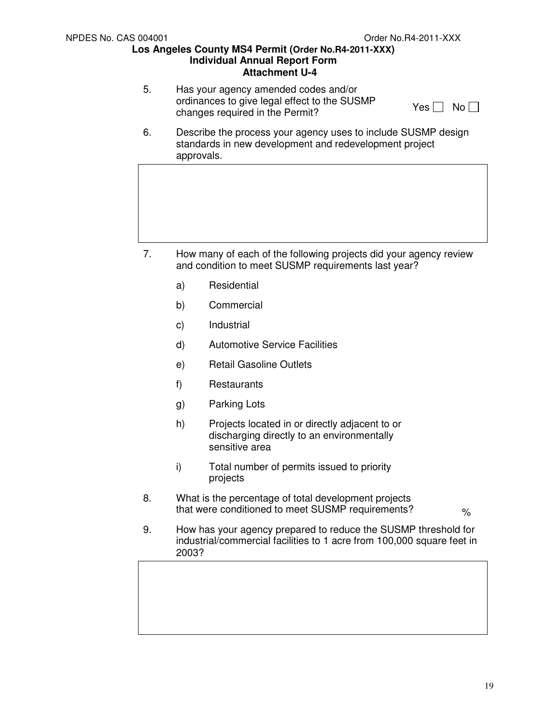5. Has your agency amended codes and/or ordinances to give legal effect to the SUSMP changes required in the Permit?

6. Describe the process your agency uses to include SUSMP design standards in new development and redevelopment project approvals.

- 7. How many of each of the following projects did your agency review and condition to meet SUSMP requirements last year?
	- a) Residential
	- b) Commercial
	- c) Industrial
	- d) Automotive Service Facilities
	- e) Retail Gasoline Outlets
	- f) Restaurants
	- g) Parking Lots
	- h) Projects located in or directly adjacent to or discharging directly to an environmentally sensitive area
	- i) Total number of permits issued to priority projects
- 8. What is the percentage of total development projects that were conditioned to meet SUSMP requirements?

 $\frac{1}{2}$ 

9. How has your agency prepared to reduce the SUSMP threshold for industrial/commercial facilities to 1 acre from 100,000 square feet in 2003?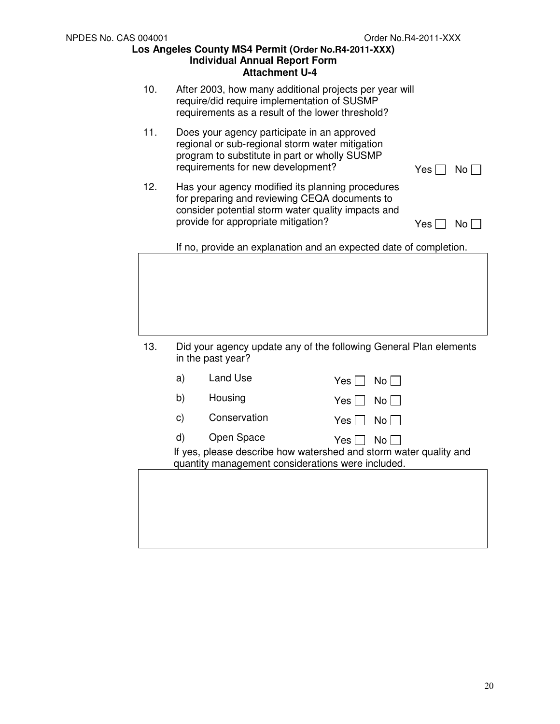- 10. After 2003, how many additional projects per year will require/did require implementation of SUSMP requirements as a result of the lower threshold?
- 11. Does your agency participate in an approved regional or sub-regional storm water mitigation program to substitute in part or wholly SUSMP requirements for new development?  $Yes \Box No \Box$
- 12. Has your agency modified its planning procedures for preparing and reviewing CEQA documents to consider potential storm water quality impacts and provide for appropriate mitigation?  $Yes \Box No \Box$

If no, provide an explanation and an expected date of completion.

| 13. | Did your agency update any of the following General Plan elements<br>in the past year? |
|-----|----------------------------------------------------------------------------------------|

| a) | Land Use                                                        | Yes l<br>No L                                                                      |
|----|-----------------------------------------------------------------|------------------------------------------------------------------------------------|
| b) | Housing                                                         | Yes I<br>No II                                                                     |
| C) | Conservation                                                    | Yes I<br>No II                                                                     |
| d) | Open Space<br>quantity management considerations were included. | Yes I<br>No L<br>If yes, please describe how watershed and storm water quality and |
|    |                                                                 |                                                                                    |
|    |                                                                 |                                                                                    |
|    |                                                                 |                                                                                    |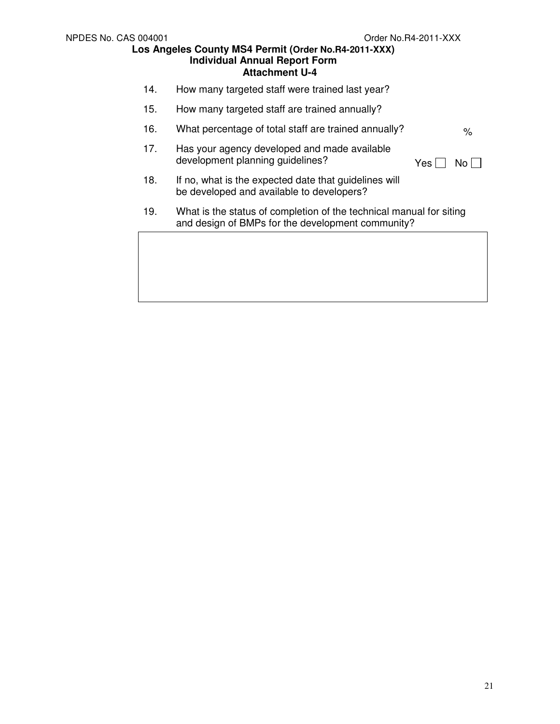- 14. How many targeted staff were trained last year?
- 15. How many targeted staff are trained annually?
- 16. What percentage of total staff are trained annually?  $\frac{1}{8}$
- 17. Has your agency developed and made available development planning guidelines?

- 18. If no, what is the expected date that guidelines will be developed and available to developers?
- 19. What is the status of completion of the technical manual for siting and design of BMPs for the development community?

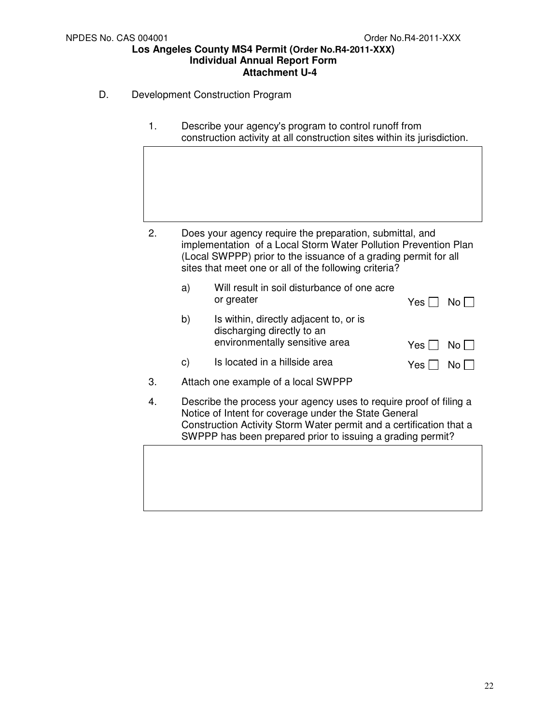- D. Development Construction Program
	- 1. Describe your agency's program to control runoff from construction activity at all construction sites within its jurisdiction.

- 2. Does your agency require the preparation, submittal, and implementation of a Local Storm Water Pollution Prevention Plan (Local SWPPP) prior to the issuance of a grading permit for all sites that meet one or all of the following criteria?
	- a) Will result in soil disturbance of one acre or greater  $Yes \Box \ No \Box$
	- b) Is within, directly adjacent to, or is discharging directly to an environmentally sensitive area  $Yes \Box No \Box$

| c) | Is located in a hillside area | Yes $\Box$ No $\Box$ |
|----|-------------------------------|----------------------|
|----|-------------------------------|----------------------|

- 3. Attach one example of a local SWPPP
- 4. Describe the process your agency uses to require proof of filing a Notice of Intent for coverage under the State General Construction Activity Storm Water permit and a certification that a SWPPP has been prepared prior to issuing a grading permit?

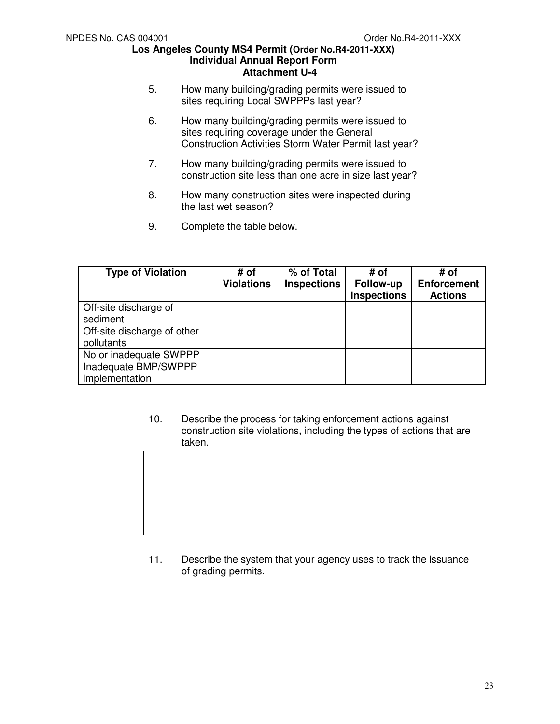- 5. How many building/grading permits were issued to sites requiring Local SWPPPs last year?
- 6. How many building/grading permits were issued to sites requiring coverage under the General Construction Activities Storm Water Permit last year?
- 7. How many building/grading permits were issued to construction site less than one acre in size last year?
- 8. How many construction sites were inspected during the last wet season?
- 9. Complete the table below.

| <b>Type of Violation</b>                  | # of<br><b>Violations</b> | % of Total<br><b>Inspections</b> | # of<br>Follow-up<br><b>Inspections</b> | # of<br><b>Enforcement</b><br><b>Actions</b> |
|-------------------------------------------|---------------------------|----------------------------------|-----------------------------------------|----------------------------------------------|
| Off-site discharge of<br>sediment         |                           |                                  |                                         |                                              |
| Off-site discharge of other<br>pollutants |                           |                                  |                                         |                                              |
| No or inadequate SWPPP                    |                           |                                  |                                         |                                              |
| Inadequate BMP/SWPPP<br>implementation    |                           |                                  |                                         |                                              |

10. Describe the process for taking enforcement actions against construction site violations, including the types of actions that are taken.

11. Describe the system that your agency uses to track the issuance of grading permits.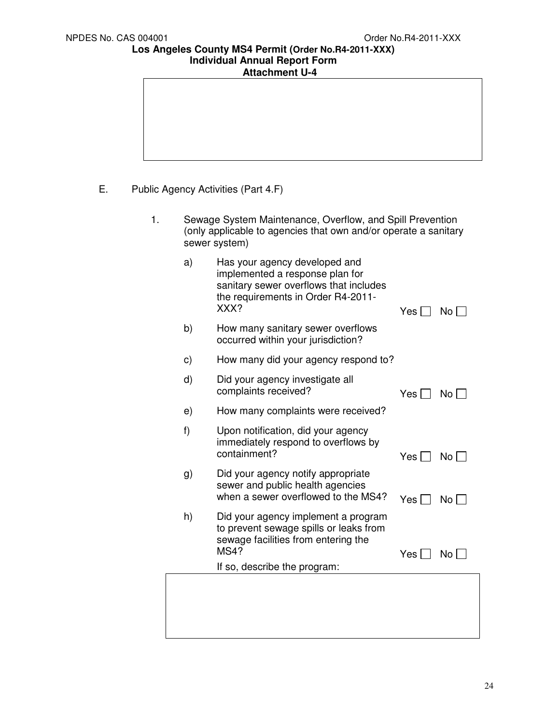| <b>Attachment U-4</b> |  |
|-----------------------|--|
|                       |  |

- E. Public Agency Activities (Part 4.F)
	- 1. Sewage System Maintenance, Overflow, and Spill Prevention (only applicable to agencies that own and/or operate a sanitary sewer system)
		- a) Has your agency developed and implemented a response plan for sanitary sewer overflows that includes the requirements in Order R4-2011-<br>XXX? Yes  $\Box$  No  $\Box$

| b) | How many sanitary sewer overflows<br>occurred within your jurisdiction?                                                      |       |                       |
|----|------------------------------------------------------------------------------------------------------------------------------|-------|-----------------------|
| C) | How many did your agency respond to?                                                                                         |       |                       |
| d) | Did your agency investigate all<br>complaints received?                                                                      | Yes I | No                    |
| e) | How many complaints were received?                                                                                           |       |                       |
| f) | Upon notification, did your agency<br>immediately respond to overflows by<br>containment?                                    | Yes I | $\mathsf{No} \models$ |
| g) | Did your agency notify appropriate<br>sewer and public health agencies<br>when a sewer overflowed to the MS4?                | Yes I | $No$ $\vert \ \vert$  |
| h) | Did your agency implement a program<br>to prevent sewage spills or leaks from<br>sewage facilities from entering the<br>MS4? | Yes I | No.                   |
|    | If so, describe the program:                                                                                                 |       |                       |
|    |                                                                                                                              |       |                       |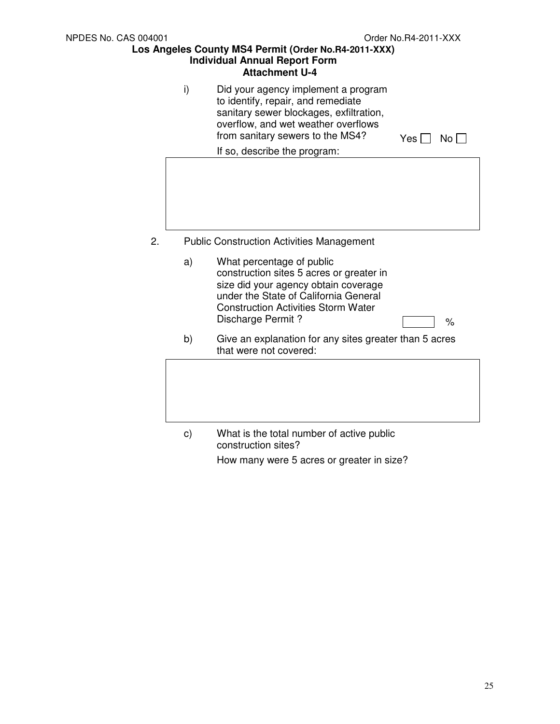i) Did your agency implement a program to identify, repair, and remediate sanitary sewer blockages, exfiltration, overflow, and wet weather overflows from sanitary sewers to the MS4?  $Y_{\text{es}} \cap N_0 \cap$ 

If so, describe the program:

- 
- 2. Public Construction Activities Management
	- a) What percentage of public construction sites 5 acres or greater in size did your agency obtain coverage under the State of California General Construction Activities Storm Water Discharge Permit ? **Example 2** %
	- b) Give an explanation for any sites greater than 5 acres that were not covered:
	- c) What is the total number of active public construction sites? How many were 5 acres or greater in size?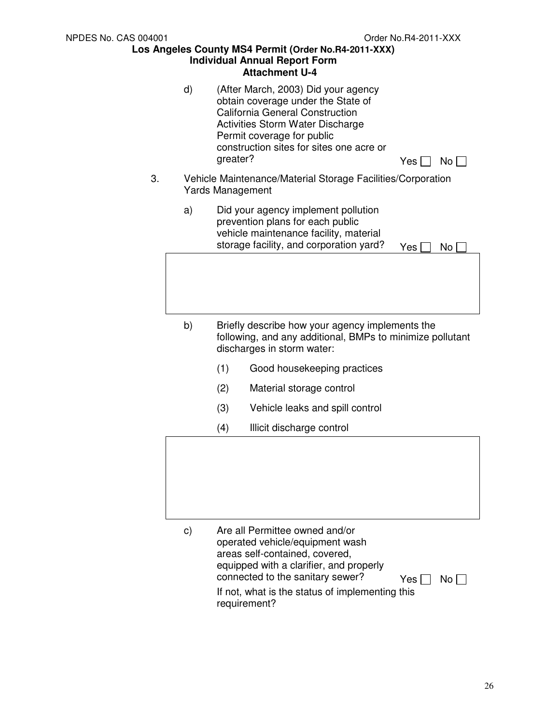|    |               | יונמטוווווסוונ ט                                                                                                                                                                                                                                               |
|----|---------------|----------------------------------------------------------------------------------------------------------------------------------------------------------------------------------------------------------------------------------------------------------------|
|    | d)            | (After March, 2003) Did your agency<br>obtain coverage under the State of<br><b>California General Construction</b><br>Activities Storm Water Discharge<br>Permit coverage for public<br>construction sites for sites one acre or<br>greater?<br>No l<br>Yes I |
| 3. |               | Vehicle Maintenance/Material Storage Facilities/Corporation<br><b>Yards Management</b>                                                                                                                                                                         |
|    | a)            | Did your agency implement pollution<br>prevention plans for each public<br>vehicle maintenance facility, material<br>storage facility, and corporation yard?<br>Yes  <br>No                                                                                    |
|    | b)            | Briefly describe how your agency implements the<br>following, and any additional, BMPs to minimize pollutant<br>discharges in storm water:                                                                                                                     |
|    |               | (1)<br>Good housekeeping practices                                                                                                                                                                                                                             |
|    |               | (2)<br>Material storage control                                                                                                                                                                                                                                |
|    |               | (3)<br>Vehicle leaks and spill control                                                                                                                                                                                                                         |
|    |               | (4)<br>Illicit discharge control                                                                                                                                                                                                                               |
|    |               |                                                                                                                                                                                                                                                                |
|    | $\mathsf{c})$ | Are all Permittee owned and/or<br>operated vehicle/equipment wash                                                                                                                                                                                              |

operated vehicle/equipment wash areas self-contained, covered, equipped with a clarifier, and properly connected to the sanitary sewer?  $Y_{\text{es}} \square \text{ No } \square$ If not, what is the status of implementing this requirement?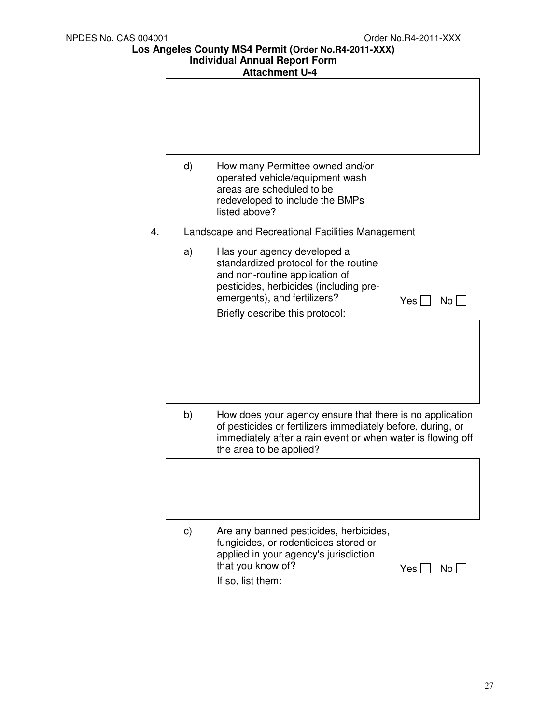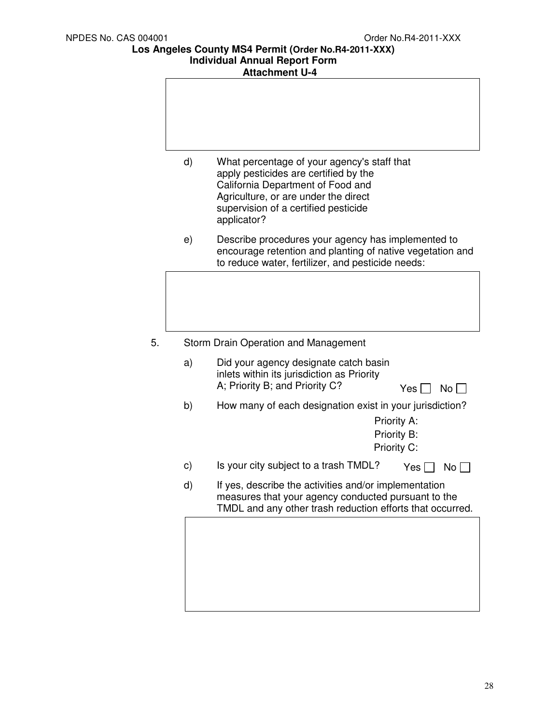| d) | What percentage of your agency's staff that<br>apply pesticides are certified by the<br>California Department of Food and<br>Agriculture, or are under the direct<br>supervision of a certified pesticide<br>applicator? |
|----|--------------------------------------------------------------------------------------------------------------------------------------------------------------------------------------------------------------------------|
| e) | Describe procedures your agency has implemented to<br>encourage retention and planting of native vegetation and<br>to reduce water, fertilizer, and pesticide needs:                                                     |
|    |                                                                                                                                                                                                                          |
|    |                                                                                                                                                                                                                          |
| 5. | Storm Drain Operation and Management                                                                                                                                                                                     |
| a) | Did your agency designate catch basin<br>inlets within its jurisdiction as Priority<br>A; Priority B; and Priority C?<br>Yes $ $<br>No                                                                                   |
| b) | How many of each designation exist in your jurisdiction?<br>Priority A:<br>Priority B:<br>Priority C:                                                                                                                    |
| C) | Is your city subject to a trash TMDL?<br>Yes  <br>No <sub>1</sub>                                                                                                                                                        |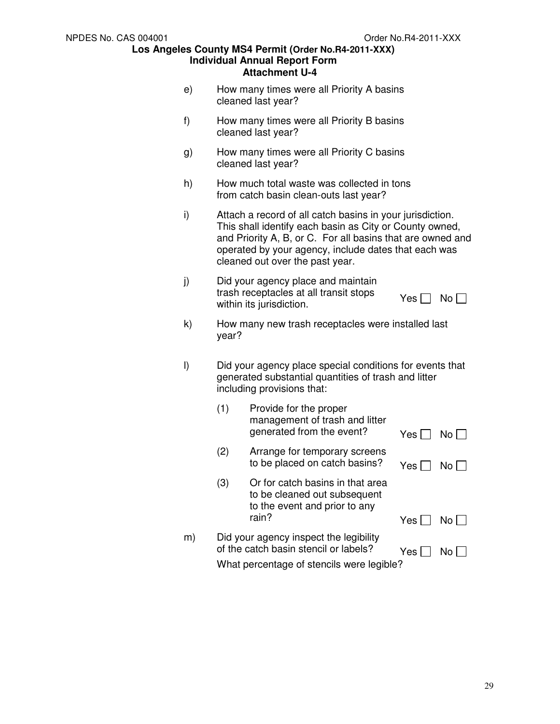- e) How many times were all Priority A basins cleaned last year?
- f) How many times were all Priority B basins cleaned last year?
- g) How many times were all Priority C basins cleaned last year?
- h) How much total waste was collected in tons from catch basin clean-outs last year?
- i) Attach a record of all catch basins in your jurisdiction. This shall identify each basin as City or County owned, and Priority A, B, or C. For all basins that are owned and operated by your agency, include dates that each was cleaned out over the past year.
- j) Did your agency place and maintain trash receptacles at all transit stops within its jurisdiction.  $\forall$ es  $\Box$  No  $\Box$
- k) How many new trash receptacles were installed last year?
- l) Did your agency place special conditions for events that generated substantial quantities of trash and litter including provisions that:

|    | (1) | Provide for the proper<br>management of trash and litter<br>generated from the event?                                        | Yes   | No I |
|----|-----|------------------------------------------------------------------------------------------------------------------------------|-------|------|
|    | (2) | Arrange for temporary screens<br>to be placed on catch basins?                                                               | Yes l | No L |
|    | (3) | Or for catch basins in that area<br>to be cleaned out subsequent<br>to the event and prior to any<br>rain?                   | Yes   | No.  |
| m) |     | Did your agency inspect the legibility<br>of the catch basin stencil or labels?<br>What percentage of stencils were legible? | Yes   |      |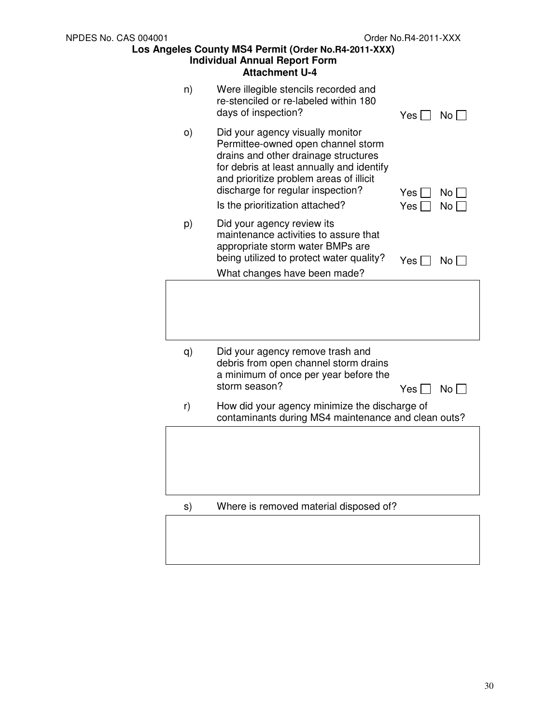|          | Auachment U-4                                                                                                                                                                                                                                                                  |                                |
|----------|--------------------------------------------------------------------------------------------------------------------------------------------------------------------------------------------------------------------------------------------------------------------------------|--------------------------------|
| n)       | Were illegible stencils recorded and<br>re-stenciled or re-labeled within 180<br>days of inspection?                                                                                                                                                                           | No $\Box$<br>$Yes \Box$        |
| $\circ)$ | Did your agency visually monitor<br>Permittee-owned open channel storm<br>drains and other drainage structures<br>for debris at least annually and identify<br>and prioritize problem areas of illicit<br>discharge for regular inspection?<br>Is the prioritization attached? | Yes l<br>No l<br>No l<br>Yes [ |
| p)       | Did your agency review its<br>maintenance activities to assure that<br>appropriate storm water BMPs are<br>being utilized to protect water quality?<br>What changes have been made?                                                                                            | Yes $\Box$<br>$No \Box$        |
|          |                                                                                                                                                                                                                                                                                |                                |
| q)       | Did your agency remove trash and<br>debris from open channel storm drains<br>a minimum of once per year before the<br>storm season?                                                                                                                                            | $No \Box$<br>Yes II            |
| r)       | How did your agency minimize the discharge of<br>contaminants during MS4 maintenance and clean outs?                                                                                                                                                                           |                                |
|          |                                                                                                                                                                                                                                                                                |                                |
| s)       | Where is removed material disposed of?                                                                                                                                                                                                                                         |                                |
|          |                                                                                                                                                                                                                                                                                |                                |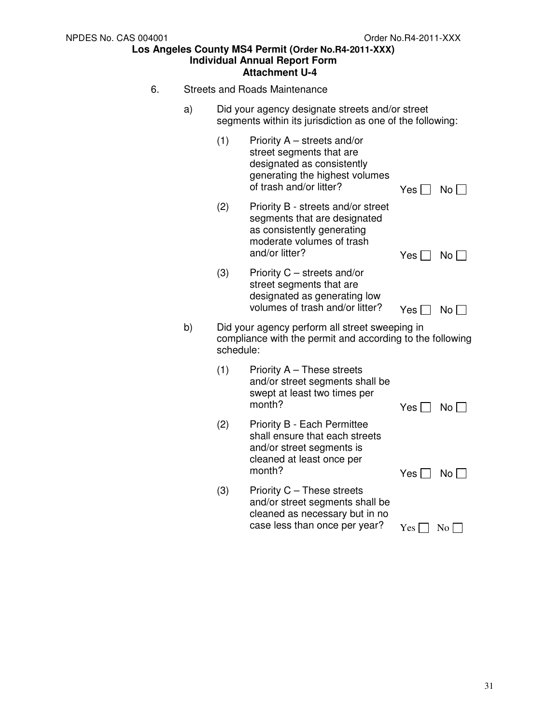- 6. Streets and Roads Maintenance
	- a) Did your agency designate streets and/or street segments within its jurisdiction as one of the following:

|                                                                                                                                | (1) | Priority $A$ – streets and/or<br>street segments that are<br>designated as consistently<br>generating the highest volumes<br>of trash and/or litter? | $Yes \Box$ | No <sub>1</sub> |
|--------------------------------------------------------------------------------------------------------------------------------|-----|------------------------------------------------------------------------------------------------------------------------------------------------------|------------|-----------------|
|                                                                                                                                | (2) | Priority B - streets and/or street<br>segments that are designated<br>as consistently generating<br>moderate volumes of trash<br>and/or litter?      | Yes II     | $No \Box$       |
|                                                                                                                                | (3) | Priority C – streets and/or<br>street segments that are<br>designated as generating low<br>volumes of trash and/or litter?                           | Yes $\Box$ | No <sub>1</sub> |
| b)<br>Did your agency perform all street sweeping in<br>compliance with the permit and according to the following<br>schedule: |     |                                                                                                                                                      |            |                 |
|                                                                                                                                | (1) | Priority A - These streets<br>and/or street segments shall be<br>swept at least two times per<br>month?                                              | Yes II     | No <sub>1</sub> |
|                                                                                                                                | (2) | Priority B - Each Permittee<br>shall ensure that each streets<br>and/or street segments is<br>cleaned at least once per<br>month?                    | Yes $\Box$ | No <sub>1</sub> |
|                                                                                                                                | (3) | Priority C - These streets<br>and/or street segments shall be<br>cleaned as necessary but in no<br>case less than once per year?                     | Yes        | No              |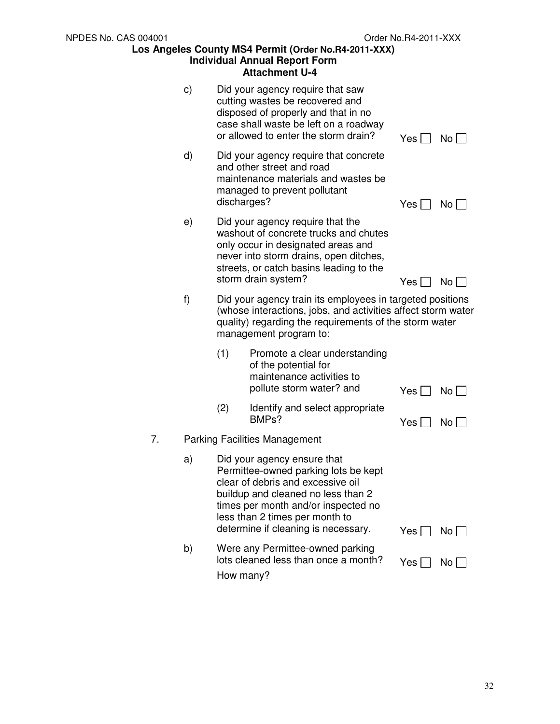|    |    |                                      | Allachment 0-4                                                                                                                                                                                                                                                 |            |                 |  |  |
|----|----|--------------------------------------|----------------------------------------------------------------------------------------------------------------------------------------------------------------------------------------------------------------------------------------------------------------|------------|-----------------|--|--|
|    | C) |                                      | Did your agency require that saw<br>cutting wastes be recovered and<br>disposed of properly and that in no<br>case shall waste be left on a roadway<br>or allowed to enter the storm drain?                                                                    | Yes        | No I            |  |  |
|    | d) | discharges?                          | Did your agency require that concrete<br>and other street and road<br>maintenance materials and wastes be<br>managed to prevent pollutant                                                                                                                      | Yes        | No <sub>1</sub> |  |  |
|    | e) |                                      | Did your agency require that the<br>washout of concrete trucks and chutes<br>only occur in designated areas and<br>never into storm drains, open ditches,<br>streets, or catch basins leading to the<br>storm drain system?                                    | Yes        | No              |  |  |
|    | f) | management program to:               | Did your agency train its employees in targeted positions<br>(whose interactions, jobs, and activities affect storm water<br>quality) regarding the requirements of the storm water                                                                            |            |                 |  |  |
|    |    | (1)                                  | Promote a clear understanding<br>of the potential for<br>maintenance activities to<br>pollute storm water? and                                                                                                                                                 | Yes        | No              |  |  |
|    |    | (2)                                  | Identify and select appropriate<br>BMP <sub>s</sub> ?                                                                                                                                                                                                          | Yes II     | No l            |  |  |
| 7. |    | <b>Parking Facilities Management</b> |                                                                                                                                                                                                                                                                |            |                 |  |  |
|    | a) |                                      | Did your agency ensure that<br>Permittee-owned parking lots be kept<br>clear of debris and excessive oil<br>buildup and cleaned no less than 2<br>times per month and/or inspected no<br>less than 2 times per month to<br>determine if cleaning is necessary. | Yes $\Box$ | No              |  |  |
|    | b) | How many?                            | Were any Permittee-owned parking<br>lots cleaned less than once a month?                                                                                                                                                                                       | Yes [      | No              |  |  |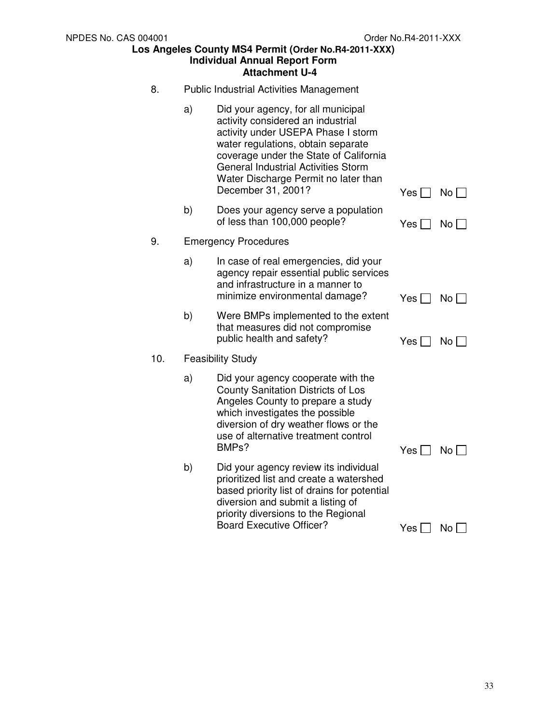8. Public Industrial Activities Management a) Did your agency, for all municipal activity considered an industrial activity under USEPA Phase I storm water regulations, obtain separate coverage under the State of California General Industrial Activities Storm Water Discharge Permit no later than December 31, 2001? Yes  $\Box$  No  $\Box$ b) Does your agency serve a population of less than 100,000 people?  $Y_{\text{es}} \square \square N_0 \square$ 9. Emergency Procedures a) In case of real emergencies, did your agency repair essential public services and infrastructure in a manner to minimize environmental damage?  $Y_{\text{es}} \cap N_0 \cap$ b) Were BMPs implemented to the extent that measures did not compromise public health and safety?  $Yes \bigcap No \bigcap$ 10. Feasibility Study a) Did your agency cooperate with the County Sanitation Districts of Los Angeles County to prepare a study which investigates the possible diversion of dry weather flows or the use of alternative treatment control<br>BMPs?  $Yes \Box No \Box$ b) Did your agency review its individual prioritized list and create a watershed based priority list of drains for potential diversion and submit a listing of priority diversions to the Regional Board Executive Officer?  $Yes \Box No \Box$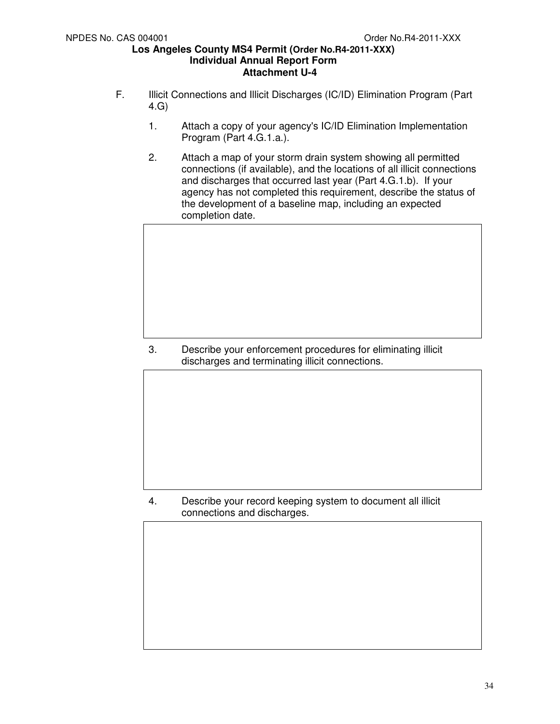- F. Illicit Connections and Illicit Discharges (IC/ID) Elimination Program (Part 4.G)
	- 1. Attach a copy of your agency's IC/ID Elimination Implementation Program (Part 4.G.1.a.).
	- 2. Attach a map of your storm drain system showing all permitted connections (if available), and the locations of all illicit connections and discharges that occurred last year (Part 4.G.1.b). If your agency has not completed this requirement, describe the status of the development of a baseline map, including an expected completion date.

3. Describe your enforcement procedures for eliminating illicit discharges and terminating illicit connections.

4. Describe your record keeping system to document all illicit connections and discharges.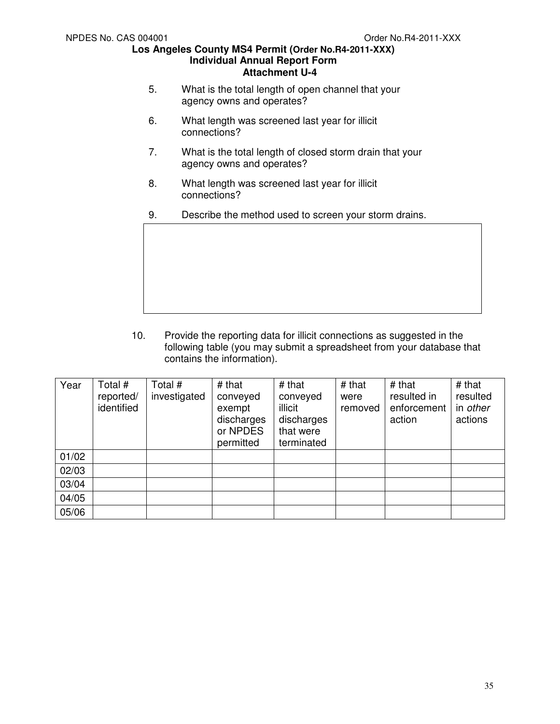- 5. What is the total length of open channel that your agency owns and operates?
- 6. What length was screened last year for illicit connections?
- 7. What is the total length of closed storm drain that your agency owns and operates?
- 8. What length was screened last year for illicit connections?
- 9. Describe the method used to screen your storm drains.



10. Provide the reporting data for illicit connections as suggested in the following table (you may submit a spreadsheet from your database that contains the information).

| Year  | Total #<br>reported/<br>identified | Total #<br>investigated | # that<br>conveyed<br>exempt<br>discharges<br>or NPDES<br>permitted | # that<br>conveyed<br>illicit<br>discharges<br>that were<br>terminated | # that<br>were<br>removed | # that<br>resulted in<br>enforcement<br>action | # that<br>resulted<br>in <i>other</i><br>actions |
|-------|------------------------------------|-------------------------|---------------------------------------------------------------------|------------------------------------------------------------------------|---------------------------|------------------------------------------------|--------------------------------------------------|
| 01/02 |                                    |                         |                                                                     |                                                                        |                           |                                                |                                                  |
| 02/03 |                                    |                         |                                                                     |                                                                        |                           |                                                |                                                  |
| 03/04 |                                    |                         |                                                                     |                                                                        |                           |                                                |                                                  |
| 04/05 |                                    |                         |                                                                     |                                                                        |                           |                                                |                                                  |
| 05/06 |                                    |                         |                                                                     |                                                                        |                           |                                                |                                                  |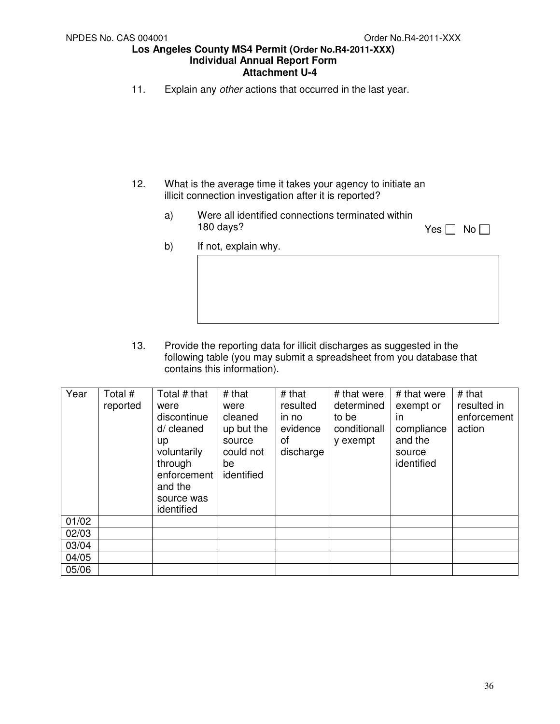11. Explain any other actions that occurred in the last year.

- 12. What is the average time it takes your agency to initiate an illicit connection investigation after it is reported?
	- a) Were all identified connections terminated within 180 days?  $\blacksquare$  No  $\blacksquare$

b) If not, explain why.

13. Provide the reporting data for illicit discharges as suggested in the following table (you may submit a spreadsheet from you database that contains this information).

| Year  | Total #  | Total # that           | # that           | # that    | # that were  | # that were | $#$ that    |
|-------|----------|------------------------|------------------|-----------|--------------|-------------|-------------|
|       | reported | were                   | were             | resulted  | determined   | exempt or   | resulted in |
|       |          | discontinue            | cleaned          | in no     | to be        | in          | enforcement |
|       |          | d/ cleaned             | up but the       | evidence  | conditionall | compliance  | action      |
|       |          | <b>up</b>              | source           | οf        | y exempt     | and the     |             |
|       |          | voluntarily            | could not        | discharge |              | source      |             |
|       |          | through<br>enforcement | be<br>identified |           |              | identified  |             |
|       |          | and the                |                  |           |              |             |             |
|       |          | source was             |                  |           |              |             |             |
|       |          | identified             |                  |           |              |             |             |
| 01/02 |          |                        |                  |           |              |             |             |
| 02/03 |          |                        |                  |           |              |             |             |
| 03/04 |          |                        |                  |           |              |             |             |
| 04/05 |          |                        |                  |           |              |             |             |
| 05/06 |          |                        |                  |           |              |             |             |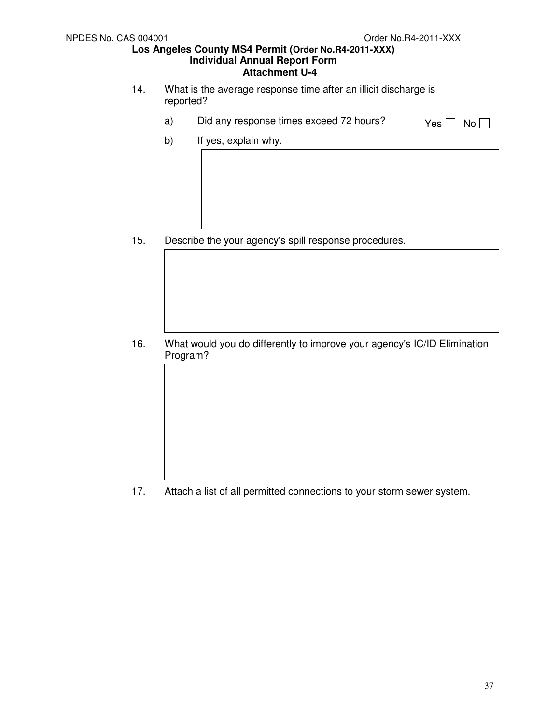- 14. What is the average response time after an illicit discharge is reported?
	- a) Did any response times exceed 72 hours?  $Yes \Box No \Box$ 
		-

b) If yes, explain why.

15. Describe the your agency's spill response procedures.

16. What would you do differently to improve your agency's IC/ID Elimination Program?

17. Attach a list of all permitted connections to your storm sewer system.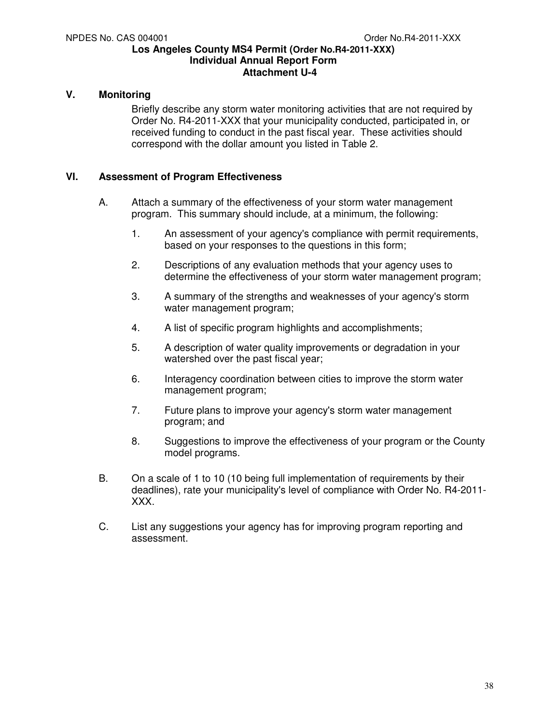### **V. Monitoring**

Briefly describe any storm water monitoring activities that are not required by Order No. R4-2011-XXX that your municipality conducted, participated in, or received funding to conduct in the past fiscal year. These activities should correspond with the dollar amount you listed in Table 2.

### **VI. Assessment of Program Effectiveness**

- A. Attach a summary of the effectiveness of your storm water management program. This summary should include, at a minimum, the following:
	- 1. An assessment of your agency's compliance with permit requirements, based on your responses to the questions in this form;
	- 2. Descriptions of any evaluation methods that your agency uses to determine the effectiveness of your storm water management program;
	- 3. A summary of the strengths and weaknesses of your agency's storm water management program;
	- 4. A list of specific program highlights and accomplishments;
	- 5. A description of water quality improvements or degradation in your watershed over the past fiscal year;
	- 6. Interagency coordination between cities to improve the storm water management program;
	- 7. Future plans to improve your agency's storm water management program; and
	- 8. Suggestions to improve the effectiveness of your program or the County model programs.
- B. On a scale of 1 to 10 (10 being full implementation of requirements by their deadlines), rate your municipality's level of compliance with Order No. R4-2011- XXX.
- C. List any suggestions your agency has for improving program reporting and assessment.